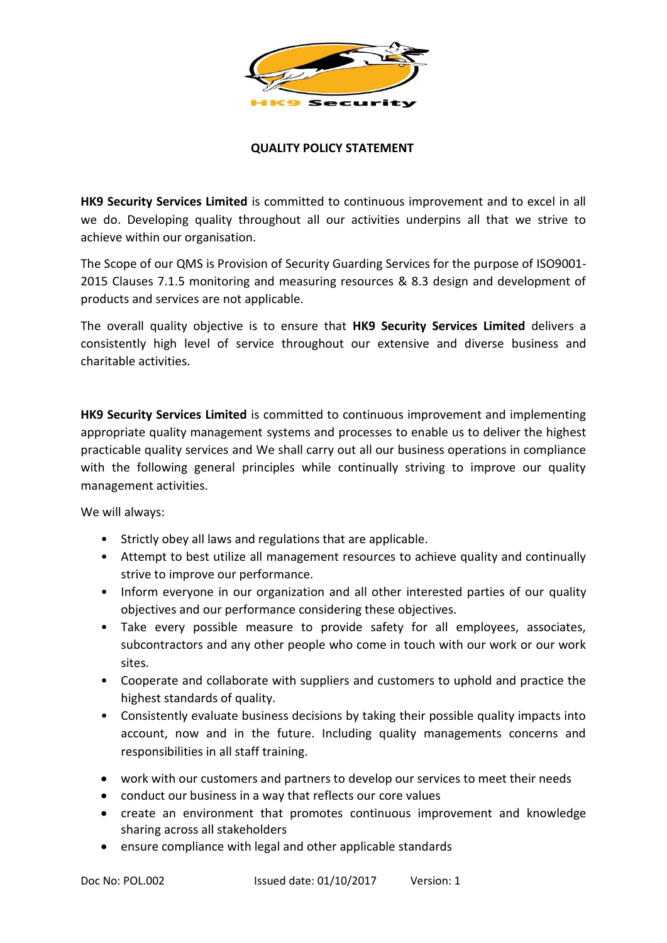

## **QUALITY POLICY STATEMENT**

**HK9 Security Services Limited** is committed to continuous improvement and to excel in all we do. Developing quality throughout all our activities underpins all that we strive to achieve within our organisation.

The Scope of our QMS is Provision of Security Guarding Services for the purpose of ISO9001- 2015 Clauses 7.1.5 monitoring and measuring resources & 8.3 design and development of products and services are not applicable.

The overall quality objective is to ensure that **HK9 Security Services Limited** delivers a consistently high level of service throughout our extensive and diverse business and charitable activities.

**HK9 Security Services Limited** is committed to continuous improvement and implementing appropriate quality management systems and processes to enable us to deliver the highest practicable quality services and We shall carry out all our business operations in compliance with the following general principles while continually striving to improve our quality management activities.

We will always:

- Strictly obey all laws and regulations that are applicable.
- Attempt to best utilize all management resources to achieve quality and continually strive to improve our performance.
- Inform everyone in our organization and all other interested parties of our quality objectives and our performance considering these objectives.
- Take every possible measure to provide safety for all employees, associates, subcontractors and any other people who come in touch with our work or our work sites.
- Cooperate and collaborate with suppliers and customers to uphold and practice the highest standards of quality.
- Consistently evaluate business decisions by taking their possible quality impacts into account, now and in the future. Including quality managements concerns and responsibilities in all staff training.
- work with our customers and partners to develop our services to meet their needs
- conduct our business in a way that reflects our core values
- create an environment that promotes continuous improvement and knowledge sharing across all stakeholders
- ensure compliance with legal and other applicable standards